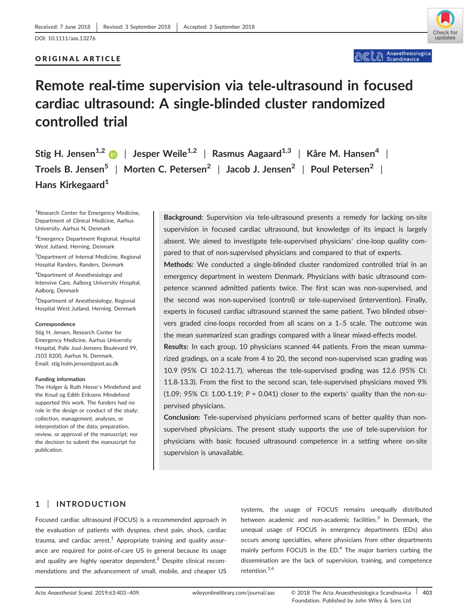## ORIGINAL ARTICLE



# **Remote real‐time supervision via tele‐ultrasound in focused cardiac ultrasound: A single‐blinded cluster randomized controlled trial**

**Stig H. Jensen1,2** | **Jesper Weile1,2** | **Rasmus Aagaard1,3** | **Kåre M. Hansen<sup>4</sup>** | **Troels B. Jensen5** | **Morten C. Petersen<sup>2</sup>** | **Jacob J. Jensen<sup>2</sup>** | **Poul Petersen<sup>2</sup>** | **Hans Kirkegaard<sup>1</sup>**

<sup>1</sup>Research Center for Emergency Medicine, Department of Clinical Medicine, Aarhus University, Aarhus N, Denmark

2 Emergency Department Regional, Hospital West Jutland, Herning, Denmark

3 Department of Internal Medicine, Regional Hospital Randers, Randers, Denmark

4 Department of Anesthesiology and Intensive Care, Aalborg University Hospital, Aalborg, Denmark

5 Department of Anesthesiology, Regional Hospital West Jutland, Herning, Denmark

#### **Correspondence**

Stig H. Jensen, Research Center for Emergency Medicine, Aarhus University Hospital, Palle Juul-Jensens Boulevard 99, J103 8200, Aarhus N, Denmark. Email: stig.holm.jensen@post.au.dk

#### **Funding information**

The Holger & Ruth Hesse's Mindefond and the Knud og Edith Eriksens Mindefond supported this work. The funders had no role in the design or conduct of the study; collection, management, analyses, or interpretation of the data; preparation, review, or approval of the manuscript; nor the decision to submit the manuscript for publication.

**Background:** Supervision via tele‐ultrasound presents a remedy for lacking on‐site supervision in focused cardiac ultrasound, but knowledge of its impact is largely absent. We aimed to investigate tele‐supervised physicians' cine‐loop quality compared to that of non‐supervised physicians and compared to that of experts.

**Methods:** We conducted a single‐blinded cluster randomized controlled trial in an emergency department in western Denmark. Physicians with basic ultrasound competence scanned admitted patients twice. The first scan was non‐supervised, and the second was non‐supervised (control) or tele‐supervised (intervention). Finally, experts in focused cardiac ultrasound scanned the same patient. Two blinded observers graded cine-loops recorded from all scans on a 1–5 scale. The outcome was the mean summarized scan gradings compared with a linear mixed‐effects model.

**Results:** In each group, 10 physicians scanned 44 patients. From the mean summarized gradings, on a scale from 4 to 20, the second non‐supervised scan grading was 10.9 (95% CI 10.2‐11.7), whereas the tele‐supervised grading was 12.6 (95% CI: 11.8‐13.3). From the first to the second scan, tele‐supervised physicians moved 9%  $(1.09; 95\% \text{ C}!)$ :  $1.00-1.19; P = 0.041$  closer to the experts' quality than the non-supervised physicians.

**Conclusion:** Tele‐supervised physicians performed scans of better quality than non‐ supervised physicians. The present study supports the use of tele-supervision for physicians with basic focused ultrasound competence in a setting where on‐site supervision is unavailable.

## **1** | **INTRODUCTION**

Focused cardiac ultrasound (FOCUS) is a recommended approach in the evaluation of patients with dyspnea, chest pain, shock, cardiac trauma, and cardiac arrest.<sup>1</sup> Appropriate training and quality assurance are required for point‐of‐care US in general because its usage and quality are highly operator dependent.<sup>2</sup> Despite clinical recommendations and the advancement of small, mobile, and cheaper US

systems, the usage of FOCUS remains unequally distributed between academic and non-academic facilities. $3$  In Denmark, the unequal usage of FOCUS in emergency departments (EDs) also occurs among specialties, where physicians from other departments mainly perform FOCUS in the  $ED<sup>4</sup>$ . The major barriers curbing the dissemination are the lack of supervision, training, and competence retention.3,4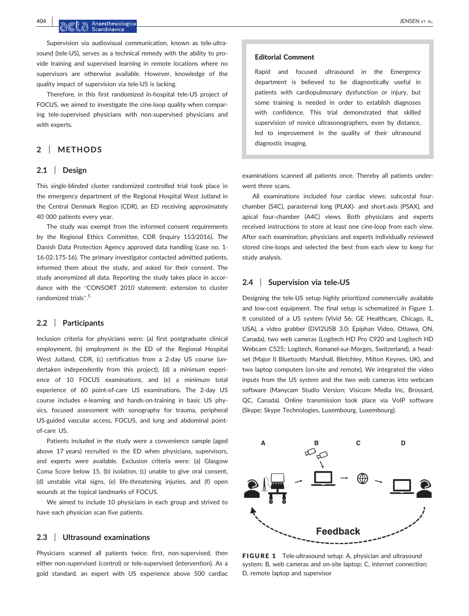**404** | JENSEN ET AL.

Supervision via audiovisual communication, known as tele-ultrasound (tele-US), serves as a technical remedy with the ability to provide training and supervised learning in remote locations where no supervisors are otherwise available. However, knowledge of the quality impact of supervision via tele‐US is lacking.

Therefore, in this first randomized in‐hospital tele‐US project of FOCUS, we aimed to investigate the cine‐loop quality when comparing tele‐supervised physicians with non‐supervised physicians and with experts.

## **2** | **METHODS**

## **2.1** | **Design**

This single‐blinded cluster randomized controlled trial took place in the emergency department of the Regional Hospital West Jutland in the Central Denmark Region (CDR), an ED receiving approximately 40 000 patients every year.

The study was exempt from the informed consent requirements by the Regional Ethics Committee, CDR (inquiry 153/2016). The Danish Data Protection Agency approved data handling (case no. 1‐ 16‐02‐175‐16). The primary investigator contacted admitted patients, informed them about the study, and asked for their consent. The study anonymized all data. Reporting the study takes place in accordance with the "CONSORT 2010 statement: extension to cluster randomized trials". 5

### **2.2** | **Participants**

Inclusion criteria for physicians were: (a) first postgraduate clinical employment, (b) employment in the ED of the Regional Hospital West Jutland, CDR, (c) certification from a 2‐day US course (undertaken independently from this project), (d) a minimum experience of 10 FOCUS examinations, and (e) a minimum total experience of 60 point-of-care US examinations. The 2-day US course includes e‐learning and hands‐on‐training in basic US physics, focused assessment with sonography for trauma, peripheral US‐guided vascular access, FOCUS, and lung and abdominal point‐ of‐care US.

Patients included in the study were a convenience sample (aged above 17 years) recruited in the ED when physicians, supervisors, and experts were available. Exclusion criteria were: (a) Glasgow Coma Score below 15, (b) isolation, (c) unable to give oral consent, (d) unstable vital signs, (e) life‐threatening injuries, and (f) open wounds at the topical landmarks of FOCUS.

We aimed to include 10 physicians in each group and strived to have each physician scan five patients.

#### **2.3** | **Ultrasound examinations**

Physicians scanned all patients twice: first, non-supervised, then either non‐supervised (control) or tele‐supervised (intervention). As a gold standard, an expert with US experience above 500 cardiac

#### Editorial Comment

Rapid and focused ultrasound in the Emergency department is believed to be diagnostically useful in patients with cardiopulmonary dysfunction or injury, but some training is needed in order to establish diagnoses with confidence. This trial demonstrated that skilled supervision of novice ultrasonographers, even by distance, led to improvement in the quality of their ultrasound diagnostic imaging.

examinations scanned all patients once. Thereby all patients underwent three scans.

All examinations included four cardiac views: subcostal four‐ chamber (S4C), parasternal long (PLAX)‐ and short‐axis (PSAX), and apical four‐chamber (A4C) views. Both physicians and experts received instructions to store at least one cine‐loop from each view. After each examination, physicians and experts individually reviewed stored cine‐loops and selected the best from each view to keep for study analysis.

## **2.4** | **Supervision via tele‐US**

Designing the tele‐US setup highly prioritized commercially available and low-cost equipment. The final setup is schematized in Figure 1. It consisted of a US system (Vivid S6; GE Healthcare, Chicago, IL, USA), a video grabber (DVI2USB 3.0; Epiphan Video, Ottawa, ON, Canada), two web cameras (Logitech HD Pro C920 and Logitech HD Webcam C525; Logitech, Romanel‐sur‐Morges, Switzerland), a headset (Major II Bluetooth; Marshall, Bletchley, Milton Keynes, UK), and two laptop computers (on‐site and remote). We integrated the video inputs from the US system and the two web cameras into webcam software (Manycam Studio Version; Visicom Media Inc, Brossard, QC, Canada). Online transmission took place via VoIP software (Skype; Skype Technologies, Luxembourg, Luxembourg).



FIGURE 1 Tele-ultrasound setup: A, physician and ultrasound system; B, web cameras and on-site laptop; C, internet connection; D, remote laptop and supervisor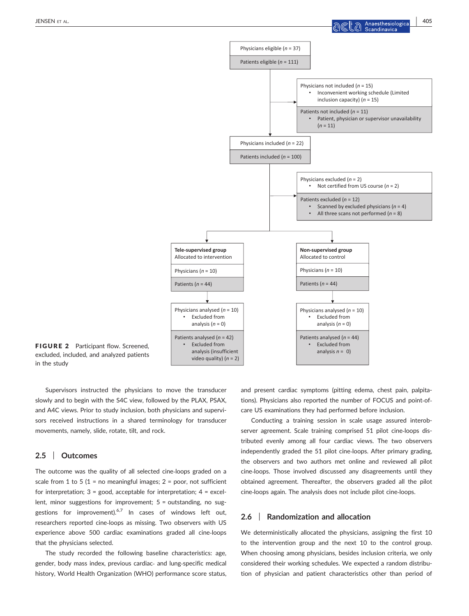

FIGURE 2 Participant flow. Screened, excluded, included, and analyzed patients in the study

Supervisors instructed the physicians to move the transducer slowly and to begin with the S4C view, followed by the PLAX, PSAX, and A4C views. Prior to study inclusion, both physicians and supervisors received instructions in a shared terminology for transducer movements, namely, slide, rotate, tilt, and rock.

## **2.5** | **Outcomes**

The outcome was the quality of all selected cine‐loops graded on a scale from 1 to 5 (1 = no meaningful images;  $2 =$  poor, not sufficient for interpretation;  $3 =$  good, acceptable for interpretation;  $4 =$  excellent, minor suggestions for improvement; 5 = outstanding, no suggestions for improvement).<sup>6,7</sup> In cases of windows left out, researchers reported cine‐loops as missing. Two observers with US experience above 500 cardiac examinations graded all cine‐loops that the physicians selected.

The study recorded the following baseline characteristics: age, gender, body mass index, previous cardiac‐ and lung‐specific medical history, World Health Organization (WHO) performance score status, and present cardiac symptoms (pitting edema, chest pain, palpitations). Physicians also reported the number of FOCUS and point‐of‐ care US examinations they had performed before inclusion.

Conducting a training session in scale usage assured interobserver agreement. Scale training comprised 51 pilot cine-loops distributed evenly among all four cardiac views. The two observers independently graded the 51 pilot cine‐loops. After primary grading, the observers and two authors met online and reviewed all pilot cine‐loops. Those involved discussed any disagreements until they obtained agreement. Thereafter, the observers graded all the pilot cine‐loops again. The analysis does not include pilot cine‐loops.

## **2.6** | **Randomization and allocation**

We deterministically allocated the physicians, assigning the first 10 to the intervention group and the next 10 to the control group. When choosing among physicians, besides inclusion criteria, we only considered their working schedules. We expected a random distribution of physician and patient characteristics other than period of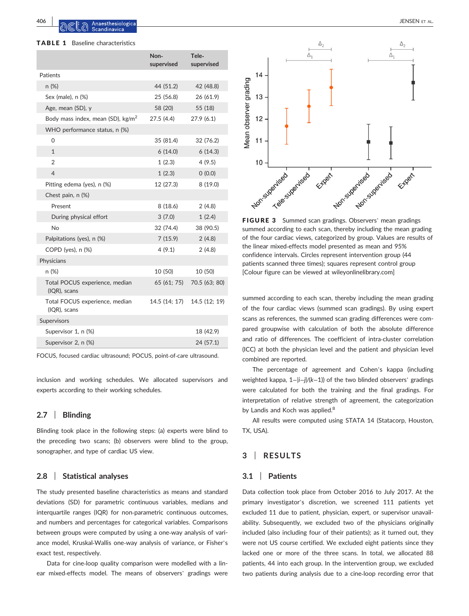**406** | JENSEN ET AL.

#### TABLE 1 Baseline characteristics

|                                                   | Non-<br>supervised | Tele-<br>supervised |
|---------------------------------------------------|--------------------|---------------------|
| Patients                                          |                    |                     |
| n(%)                                              | 44 (51.2)          | 42 (48.8)           |
| Sex (male), n (%)                                 | 25 (56.8)          | 26 (61.9)           |
| Age, mean (SD), y                                 | 58 (20)            | 55 (18)             |
| Body mass index, mean (SD), kg/m <sup>2</sup>     | 27.5 (4.4)         | 27.9(6.1)           |
| WHO performance status, n (%)                     |                    |                     |
| 0                                                 | 35 (81.4)          | 32 (76.2)           |
| $\mathbf{1}$                                      | 6(14.0)            | 6(14.3)             |
| $\overline{2}$                                    | 1(2.3)             | 4(9.5)              |
| $\overline{4}$                                    | 1(2.3)             | 0(0.0)              |
| Pitting edema (yes), n (%)                        | 12 (27.3)          | 8(19.0)             |
| Chest pain, n (%)                                 |                    |                     |
| Present                                           | 8(18.6)            | 2(4.8)              |
| During physical effort                            | 3(7.0)             | 1(2.4)              |
| <b>No</b>                                         | 32 (74.4)          | 38 (90.5)           |
| Palpitations (yes), n (%)                         | 7(15.9)            | 2(4.8)              |
| COPD (yes), n (%)                                 | 4(9.1)             | 2(4.8)              |
| Physicians                                        |                    |                     |
| n (%)                                             | 10 (50)            | 10 (50)             |
| Total POCUS experience, median<br>$(IQR)$ , scans | 65 (61; 75)        | 70.5 (63; 80)       |
| Total FOCUS experience, median<br>(IQR), scans    | 14.5 (14; 17)      | 14.5 (12; 19)       |
| Supervisors                                       |                    |                     |
| Supervisor 1, n (%)                               |                    | 18 (42.9)           |
| Supervisor 2, n (%)                               |                    | 24 (57.1)           |
|                                                   |                    |                     |

FOCUS, focused cardiac ultrasound; POCUS, point‐of‐care ultrasound.

inclusion and working schedules. We allocated supervisors and experts according to their working schedules.

## **2.7** | **Blinding**

Blinding took place in the following steps: (a) experts were blind to the preceding two scans; (b) observers were blind to the group, sonographer, and type of cardiac US view.

### **2.8** | **Statistical analyses**

The study presented baseline characteristics as means and standard deviations (SD) for parametric continuous variables, medians and interquartile ranges (IQR) for non‐parametric continuous outcomes, and numbers and percentages for categorical variables. Comparisons between groups were computed by using a one‐way analysis of variance model, Kruskal‐Wallis one‐way analysis of variance, or Fisher's exact test, respectively.

Data for cine-loop quality comparison were modelled with a linear mixed-effects model. The means of observers' gradings were



FIGURE 3 Summed scan gradings. Observers' mean gradings summed according to each scan, thereby including the mean grading of the four cardiac views, categorized by group. Values are results of the linear mixed‐effects model presented as mean and 95% confidence intervals. Circles represent intervention group (44 patients scanned three times); squares represent control group [Colour figure can be viewed at [wileyonlinelibrary.com\]](www.wileyonlinelibrary.com)

summed according to each scan, thereby including the mean grading of the four cardiac views (summed scan gradings). By using expert scans as references, the summed scan grading differences were compared groupwise with calculation of both the absolute difference and ratio of differences. The coefficient of intra‐cluster correlation (ICC) at both the physician level and the patient and physician level combined are reported.

The percentage of agreement and Cohen's kappa (including weighted kappa, 1−|*i*−*j*|/(*k*−1)) of the two blinded observers' gradings were calculated for both the training and the final gradings. For interpretation of relative strength of agreement, the categorization by Landis and Koch was applied.<sup>8</sup>

All results were computed using STATA 14 (Statacorp, Houston, TX, USA).

## **3** | **RESULTS**

#### **3.1** | **Patients**

Data collection took place from October 2016 to July 2017. At the primary investigator's discretion, we screened 111 patients yet excluded 11 due to patient, physician, expert, or supervisor unavailability. Subsequently, we excluded two of the physicians originally included (also including four of their patients); as it turned out, they were not US course certified. We excluded eight patients since they lacked one or more of the three scans. In total, we allocated 88 patients, 44 into each group. In the intervention group, we excluded two patients during analysis due to a cine‐loop recording error that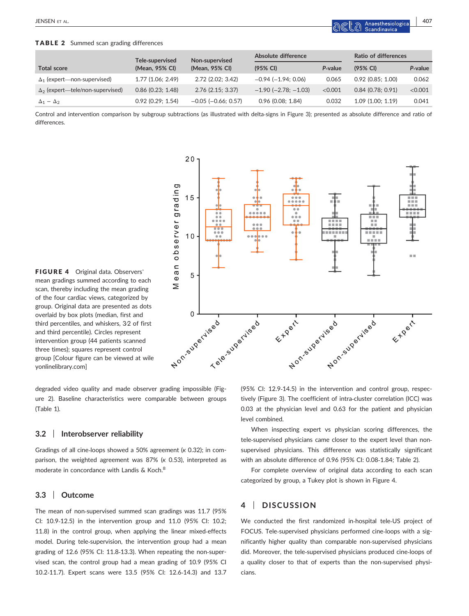## TABLE 2 Summed scan grading differences

|                                         | Tele-supervised     | Non-supervised<br>(Mean, 95% CI) | Absolute difference           |         | Ratio of differences |         |
|-----------------------------------------|---------------------|----------------------------------|-------------------------------|---------|----------------------|---------|
| <b>Total score</b>                      | (Mean, 95% CI)      |                                  | (95% CI)                      | P-value | (95% CI)             | P-value |
| $\Delta_1$ (expert—non-supervised)      | 1.77 (1.06; 2.49)   | 2.72(2.02:3.42)                  | $-0.94$ ( $-1.94$ ; 0.06)     | 0.065   | $0.92$ (0.85: 1.00)  | 0.062   |
| $\Delta_2$ (expert—tele/non-supervised) | $0.86$ (0.23; 1.48) | $2.76$ (2.15: 3.37)              | $-1.90$ ( $-2.78$ ; $-1.03$ ) | < 0.001 | $0.84$ (0.78: 0.91)  | < 0.001 |
| $\Delta_1 - \Delta_2$                   | $0.92$ (0.29; 1.54) | $-0.05$ ( $-0.66$ ; 0.57)        | $0.96$ (0.08; 1.84)           | 0.032   | 1.09(1.00; 1.19)     | 0.041   |

Control and intervention comparison by subgroup subtractions (as illustrated with delta‐signs in Figure 3); presented as absolute difference and ratio of differences.

 $20$ 

 $15$ 



degraded video quality and made observer grading impossible (Figure 2). Baseline characteristics were comparable between groups (Table 1)*.*

## **3.2** | **Interobserver reliability**

Gradings of all cine‐loops showed a 50% agreement (*к* 0.32); in comparison, the weighted agreement was 87% (*к* 0.53), interpreted as moderate in concordance with Landis & Koch.<sup>8</sup>

# **3.3** | **Outcome**

[yonlinelibrary.com](www.wileyonlinelibrary.com)]

The mean of non‐supervised summed scan gradings was 11.7 (95% CI: 10.9‐12.5) in the intervention group and 11.0 (95% CI: 10.2; 11.8) in the control group, when applying the linear mixed-effects model. During tele‐supervision, the intervention group had a mean grading of 12.6 (95% CI: 11.8-13.3). When repeating the non-supervised scan, the control group had a mean grading of 10.9 (95% CI 10.2‐11.7). Expert scans were 13.5 (95% CI: 12.6‐14.3) and 13.7

 $\overline{m}$ 

(95% CI: 12.9‐14.5) in the intervention and control group, respectively (Figure 3). The coefficient of intra-cluster correlation (ICC) was 0.03 at the physician level and 0.63 for the patient and physician level combined.

Etperte supervised de vises

When inspecting expert vs physician scoring differences, the tele-supervised physicians came closer to the expert level than nonsupervised physicians. This difference was statistically significant with an absolute difference of 0.96 (95% CI: 0.08‐1.84; Table 2).

For complete overview of original data according to each scan categorized by group, a Tukey plot is shown in Figure 4.

## **4** | **DISCUSSION**

We conducted the first randomized in‐hospital tele‐US project of FOCUS. Tele‐supervised physicians performed cine‐loops with a significantly higher quality than comparable non‐supervised physicians did. Moreover, the tele‐supervised physicians produced cine‐loops of a quality closer to that of experts than the non‐supervised physicians.

EXPRESS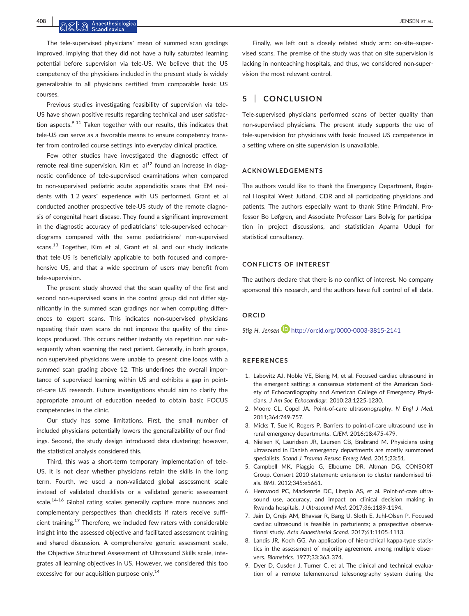The tele‐supervised physicians' mean of summed scan gradings improved, implying that they did not have a fully saturated learning potential before supervision via tele‐US. We believe that the US competency of the physicians included in the present study is widely generalizable to all physicians certified from comparable basic US courses.

Previous studies investigating feasibility of supervision via tele‐ US have shown positive results regarding technical and user satisfaction aspects. $9-11$  Taken together with our results, this indicates that tele‐US can serve as a favorable means to ensure competency transfer from controlled course settings into everyday clinical practice.

Few other studies have investigated the diagnostic effect of remote real-time supervision. Kim et  $al<sup>12</sup>$  found an increase in diagnostic confidence of tele‐supervised examinations when compared to non‐supervised pediatric acute appendicitis scans that EM residents with 1‐2 years' experience with US performed. Grant et al conducted another prospective tele‐US study of the remote diagnosis of congenital heart disease. They found a significant improvement in the diagnostic accuracy of pediatricians' tele‐supervised echocardiograms compared with the same pediatricians' non‐supervised scans.<sup>13</sup> Together, Kim et al, Grant et al, and our study indicate that tele‐US is beneficially applicable to both focused and comprehensive US, and that a wide spectrum of users may benefit from tele‐supervision.

The present study showed that the scan quality of the first and second non-supervised scans in the control group did not differ significantly in the summed scan gradings nor when computing differences to expert scans. This indicates non‐supervised physicians repeating their own scans do not improve the quality of the cine‐ loops produced. This occurs neither instantly via repetition nor subsequently when scanning the next patient. Generally, in both groups, non‐supervised physicians were unable to present cine‐loops with a summed scan grading above 12. This underlines the overall importance of supervised learning within US and exhibits a gap in point‐ of-care US research. Future investigations should aim to clarify the appropriate amount of education needed to obtain basic FOCUS competencies in the clinic.

Our study has some limitations. First, the small number of included physicians potentially lowers the generalizability of our findings. Second, the study design introduced data clustering; however, the statistical analysis considered this.

Third, this was a short-term temporary implementation of tele-US. It is not clear whether physicians retain the skills in the long term. Fourth, we used a non-validated global assessment scale instead of validated checklists or a validated generic assessment scale.<sup>14-16</sup> Global rating scales generally capture more nuances and complementary perspectives than checklists if raters receive sufficient training.17 Therefore, we included few raters with considerable insight into the assessed objective and facilitated assessment training and shared discussion. A comprehensive generic assessment scale, the Objective Structured Assessment of Ultrasound Skills scale, integrates all learning objectives in US. However, we considered this too excessive for our acquisition purpose only.<sup>14</sup>

Finally, we left out a closely related study arm: on‐site–supervised scans. The premise of the study was that on‐site supervision is lacking in nonteaching hospitals, and thus, we considered non‐supervision the most relevant control.

# **5** | **CONCLUSION**

Tele-supervised physicians performed scans of better quality than non‐supervised physicians. The present study supports the use of tele‐supervision for physicians with basic focused US competence in a setting where on‐site supervision is unavailable.

#### **ACKNOWLEDGEMENTS**

The authors would like to thank the Emergency Department, Regional Hospital West Jutland, CDR and all participating physicians and patients. The authors especially want to thank Stine Primdahl, Professor Bo Løfgren, and Associate Professor Lars Bolvig for participation in project discussions, and statistician Aparna Udupi for statistical consultancy.

## **CONFLICTS OF INTEREST**

The authors declare that there is no conflict of interest. No company sponsored this research, and the authors have full control of all data.

# **ORCID**

*Stig H. Jensen* http://orcid.org/0000-0003-3815-2141

#### **REFERENCES**

- 1. Labovitz AJ, Noble VE, Bierig M, et al. Focused cardiac ultrasound in the emergent setting: a consensus statement of the American Society of Echocardiography and American College of Emergency Physicians. *J Am Soc Echocardiogr*. 2010;23:1225‐1230.
- 2. Moore CL, Copel JA. Point‐of‐care ultrasonography. *N Engl J Med*. 2011;364:749‐757.
- 3. Micks T, Sue K, Rogers P. Barriers to point‐of‐care ultrasound use in rural emergency departments. *CJEM*. 2016;18:475‐479.
- 4. Nielsen K, Lauridsen JR, Laursen CB, Brabrand M. Physicians using ultrasound in Danish emergency departments are mostly summoned specialists. *Scand J Trauma Resusc Emerg Med*. 2015;23:51.
- 5. Campbell MK, Piaggio G, Elbourne DR, Altman DG, CONSORT Group. Consort 2010 statement: extension to cluster randomised trials. *BMJ*. 2012;345:e5661.
- 6. Henwood PC, Mackenzie DC, Liteplo AS, et al. Point‐of‐care ultrasound use, accuracy, and impact on clinical decision making in Rwanda hospitals. *J Ultrasound Med*. 2017;36:1189‐1194.
- 7. Jain D, Grejs AM, Bhavsar R, Bang U, Sloth E, Juhl‐Olsen P. Focused cardiac ultrasound is feasible in parturients; a prospective observational study. *Acta Anaesthesiol Scand*. 2017;61:1105‐1113.
- 8. Landis JR, Koch GG. An application of hierarchical kappa‐type statistics in the assessment of majority agreement among multiple observers. *Biometrics*. 1977;33:363‐374.
- 9. Dyer D, Cusden J, Turner C, et al. The clinical and technical evaluation of a remote telementored telesonography system during the